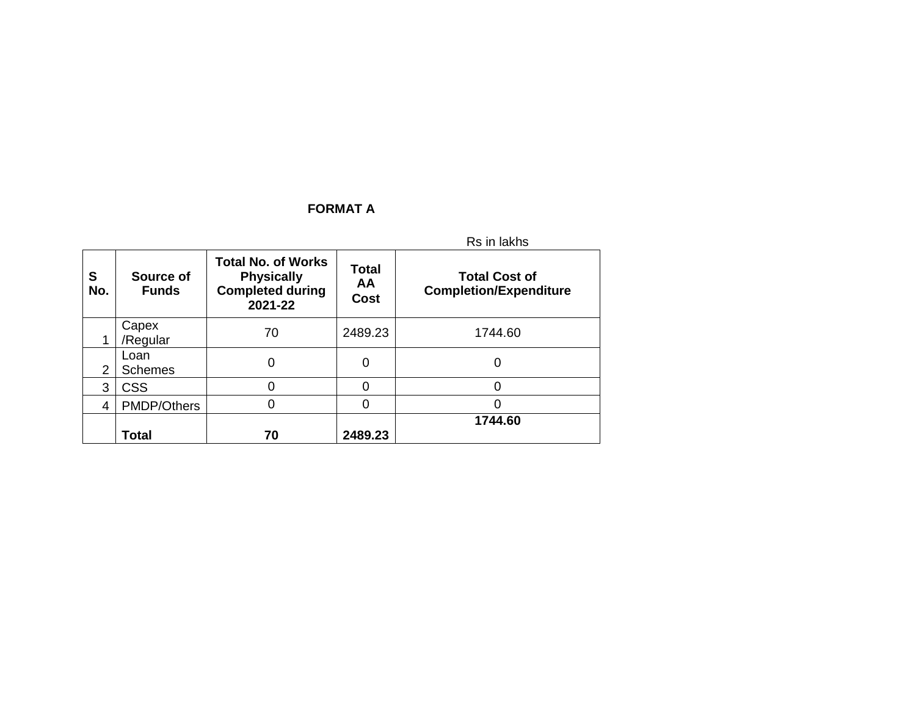## **FORMAT A**

|          |                           |                                                                                      |                                          | Rs in lakhs                                           |
|----------|---------------------------|--------------------------------------------------------------------------------------|------------------------------------------|-------------------------------------------------------|
| S<br>No. | Source of<br><b>Funds</b> | <b>Total No. of Works</b><br><b>Physically</b><br><b>Completed during</b><br>2021-22 | <b>Total</b><br><b>AA</b><br><b>Cost</b> | <b>Total Cost of</b><br><b>Completion/Expenditure</b> |
|          | Capex<br>/Regular         | 70                                                                                   | 2489.23                                  | 1744.60                                               |
| 2        | Loan<br><b>Schemes</b>    | 0                                                                                    | 0                                        | 0                                                     |
| 3        | <b>CSS</b>                | 0                                                                                    | 0                                        | 0                                                     |
| 4        | <b>PMDP/Others</b>        | ი                                                                                    | 0                                        | ი                                                     |
|          | <b>Total</b>              | 70                                                                                   | 2489.23                                  | 1744.60                                               |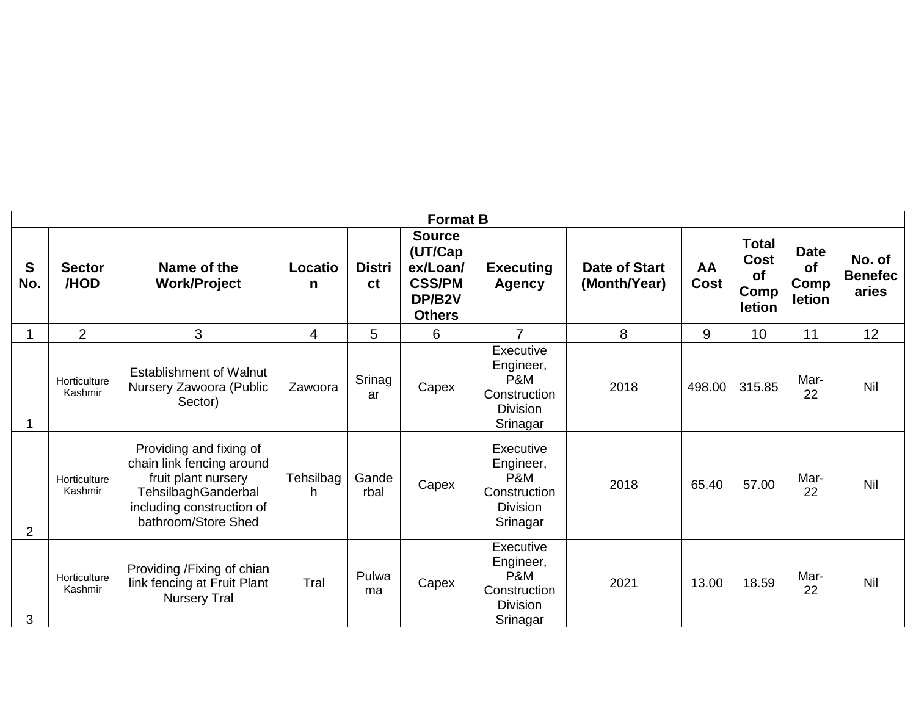|                |                         |                                                                                                                                                        |                 |                     | <b>Format B</b>                                                                  |                                                                                         |                                      |                   |                                              |                                     |                                   |
|----------------|-------------------------|--------------------------------------------------------------------------------------------------------------------------------------------------------|-----------------|---------------------|----------------------------------------------------------------------------------|-----------------------------------------------------------------------------------------|--------------------------------------|-------------------|----------------------------------------------|-------------------------------------|-----------------------------------|
| S<br>No.       | <b>Sector</b><br>/HOD   | Name of the<br><b>Work/Project</b>                                                                                                                     | Locatio<br>n    | <b>Distri</b><br>ct | <b>Source</b><br>(UT/Cap<br>ex/Loan/<br><b>CSS/PM</b><br>DP/B2V<br><b>Others</b> | <b>Executing</b><br><b>Agency</b>                                                       | <b>Date of Start</b><br>(Month/Year) | AA<br><b>Cost</b> | <b>Total</b><br>Cost<br>of<br>Comp<br>letion | <b>Date</b><br>of<br>Comp<br>letion | No. of<br><b>Benefec</b><br>aries |
|                | $\overline{2}$          | 3                                                                                                                                                      | 4               | 5                   | 6                                                                                | $\overline{7}$                                                                          | 8                                    | 9                 | 10                                           | 11                                  | 12                                |
|                | Horticulture<br>Kashmir | <b>Establishment of Walnut</b><br>Nursery Zawoora (Public<br>Sector)                                                                                   | Zawoora         | Srinag<br>ar        | Capex                                                                            | Executive<br>Engineer,<br><b>P&amp;M</b><br>Construction<br><b>Division</b><br>Srinagar | 2018                                 | 498.00            | 315.85                                       | Mar-<br>22                          | Nil                               |
| $\overline{2}$ | Horticulture<br>Kashmir | Providing and fixing of<br>chain link fencing around<br>fruit plant nursery<br>TehsilbaghGanderbal<br>including construction of<br>bathroom/Store Shed | Tehsilbag<br>h. | Gande<br>rbal       | Capex                                                                            | Executive<br>Engineer,<br>P&M<br>Construction<br><b>Division</b><br>Srinagar            | 2018                                 | 65.40             | 57.00                                        | Mar-<br>22                          | Nil                               |
| 3              | Horticulture<br>Kashmir | Providing /Fixing of chian<br>link fencing at Fruit Plant<br><b>Nursery Tral</b>                                                                       | Tral            | Pulwa<br>ma         | Capex                                                                            | Executive<br>Engineer,<br><b>P&amp;M</b><br>Construction<br><b>Division</b><br>Srinagar | 2021                                 | 13.00             | 18.59                                        | Mar-<br>22                          | Nil                               |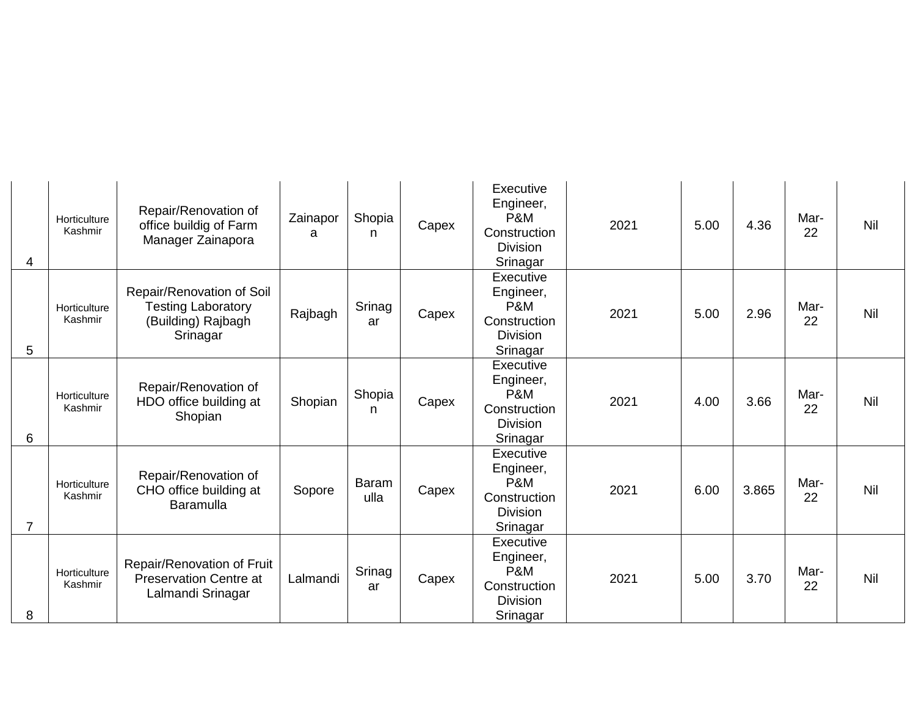| 4              | Horticulture<br>Kashmir | Repair/Renovation of<br>office buildig of Farm<br>Manager Zainapora                      | Zainapor<br>a | Shopia<br>n.         | Capex | Executive<br>Engineer,<br>P&M<br>Construction<br><b>Division</b><br>Srinagar | 2021 | 5.00 | 4.36  | Mar-<br>22 | Nil |
|----------------|-------------------------|------------------------------------------------------------------------------------------|---------------|----------------------|-------|------------------------------------------------------------------------------|------|------|-------|------------|-----|
| 5              | Horticulture<br>Kashmir | Repair/Renovation of Soil<br><b>Testing Laboratory</b><br>(Building) Rajbagh<br>Srinagar | Rajbagh       | Srinag<br>ar         | Capex | Executive<br>Engineer,<br>P&M<br>Construction<br><b>Division</b><br>Srinagar | 2021 | 5.00 | 2.96  | Mar-<br>22 | Nil |
| 6              | Horticulture<br>Kashmir | Repair/Renovation of<br>HDO office building at<br>Shopian                                | Shopian       | Shopia<br>n          | Capex | Executive<br>Engineer,<br>P&M<br>Construction<br><b>Division</b><br>Srinagar | 2021 | 4.00 | 3.66  | Mar-<br>22 | Nil |
| $\overline{7}$ | Horticulture<br>Kashmir | Repair/Renovation of<br>CHO office building at<br>Baramulla                              | Sopore        | <b>Baram</b><br>ulla | Capex | Executive<br>Engineer,<br>P&M<br>Construction<br><b>Division</b><br>Srinagar | 2021 | 6.00 | 3.865 | Mar-<br>22 | Nil |
| 8              | Horticulture<br>Kashmir | Repair/Renovation of Fruit<br><b>Preservation Centre at</b><br>Lalmandi Srinagar         | Lalmandi      | Srinag<br>ar         | Capex | Executive<br>Engineer,<br>P&M<br>Construction<br><b>Division</b><br>Srinagar | 2021 | 5.00 | 3.70  | Mar-<br>22 | Nil |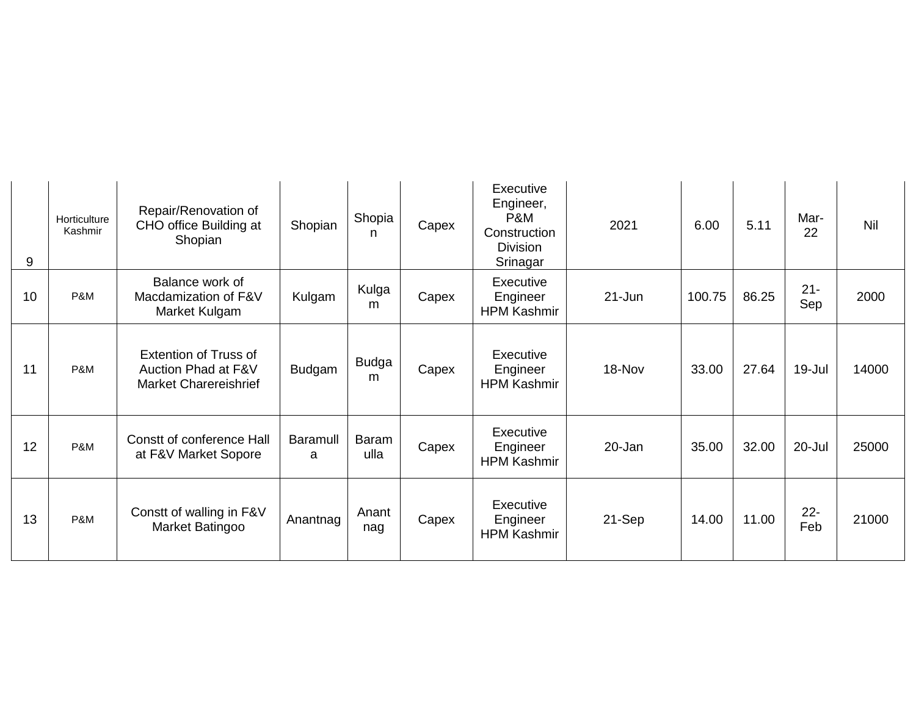| 9  | Horticulture<br>Kashmir | Repair/Renovation of<br>CHO office Building at<br>Shopian                           | Shopian       | Shopia<br>n          | Capex | Executive<br>Engineer,<br>P&M<br>Construction<br><b>Division</b><br>Srinagar | 2021       | 6.00   | 5.11  | Mar-<br>22    | Nil   |
|----|-------------------------|-------------------------------------------------------------------------------------|---------------|----------------------|-------|------------------------------------------------------------------------------|------------|--------|-------|---------------|-------|
| 10 | P&M                     | Balance work of<br>Macdamization of F&V<br>Market Kulgam                            | Kulgam        | Kulga<br>m           | Capex | Executive<br>Engineer<br><b>HPM Kashmir</b>                                  | $21 - Jun$ | 100.75 | 86.25 | $21 -$<br>Sep | 2000  |
| 11 | P&M                     | <b>Extention of Truss of</b><br>Auction Phad at F&V<br><b>Market Charereishrief</b> | <b>Budgam</b> | <b>Budga</b><br>m    | Capex | Executive<br>Engineer<br><b>HPM Kashmir</b>                                  | 18-Nov     | 33.00  | 27.64 | 19-Jul        | 14000 |
| 12 | P&M                     | Constt of conference Hall<br>at F&V Market Sopore                                   | Baramull<br>a | <b>Baram</b><br>ulla | Capex | Executive<br>Engineer<br><b>HPM Kashmir</b>                                  | 20-Jan     | 35.00  | 32.00 | 20-Jul        | 25000 |
| 13 | P&M                     | Constt of walling in F&V<br>Market Batingoo                                         | Anantnag      | Anant<br>nag         | Capex | Executive<br>Engineer<br><b>HPM Kashmir</b>                                  | 21-Sep     | 14.00  | 11.00 | $22 -$<br>Feb | 21000 |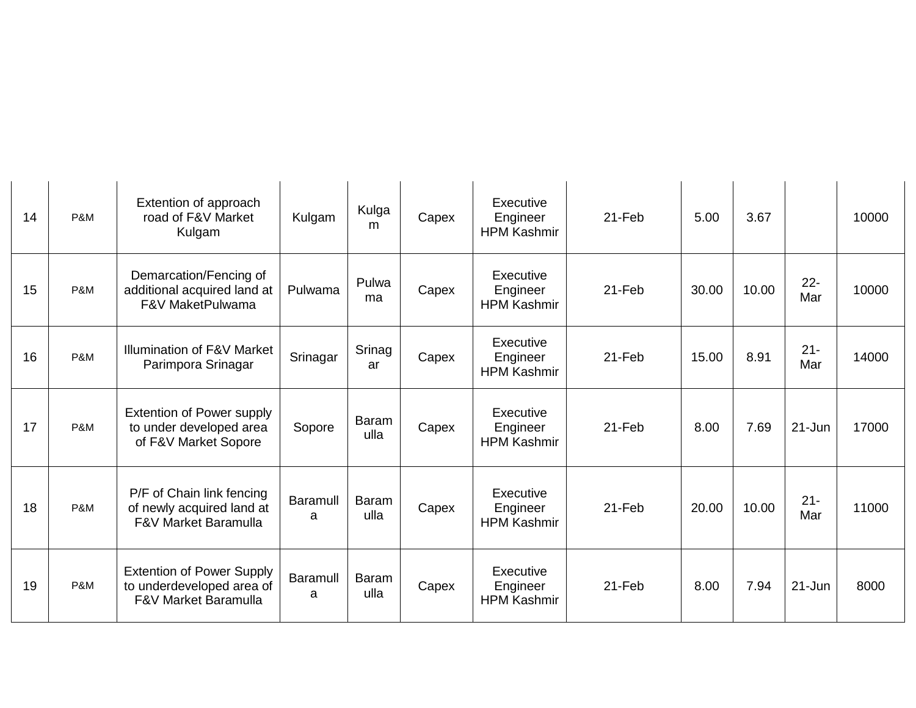| 14 | P&M | Extention of approach<br>road of F&V Market<br>Kulgam                                            | Kulgam               | Kulga<br>m           | Capex | Executive<br>Engineer<br><b>HPM Kashmir</b> | $21 - Feb$ | 5.00  | 3.67  |               | 10000 |
|----|-----|--------------------------------------------------------------------------------------------------|----------------------|----------------------|-------|---------------------------------------------|------------|-------|-------|---------------|-------|
| 15 | P&M | Demarcation/Fencing of<br>additional acquired land at<br>F&V MaketPulwama                        | Pulwama              | Pulwa<br>ma          | Capex | Executive<br>Engineer<br><b>HPM Kashmir</b> | $21 - Feb$ | 30.00 | 10.00 | $22 -$<br>Mar | 10000 |
| 16 | P&M | Illumination of F&V Market<br>Parimpora Srinagar                                                 | Srinagar             | Srinag<br>ar         | Capex | Executive<br>Engineer<br><b>HPM Kashmir</b> | $21 - Feb$ | 15.00 | 8.91  | $21 -$<br>Mar | 14000 |
| 17 | P&M | Extention of Power supply<br>to under developed area<br>of F&V Market Sopore                     | Sopore               | Baram<br>ulla        | Capex | Executive<br>Engineer<br><b>HPM Kashmir</b> | 21-Feb     | 8.00  | 7.69  | $21 - Jun$    | 17000 |
| 18 | P&M | P/F of Chain link fencing<br>of newly acquired land at<br><b>F&amp;V Market Baramulla</b>        | <b>Baramull</b><br>a | Baram<br>ulla        | Capex | Executive<br>Engineer<br><b>HPM Kashmir</b> | 21-Feb     | 20.00 | 10.00 | $21 -$<br>Mar | 11000 |
| 19 | P&M | <b>Extention of Power Supply</b><br>to underdeveloped area of<br><b>F&amp;V Market Baramulla</b> | <b>Baramull</b><br>a | <b>Baram</b><br>ulla | Capex | Executive<br>Engineer<br><b>HPM Kashmir</b> | 21-Feb     | 8.00  | 7.94  | $21 - Jun$    | 8000  |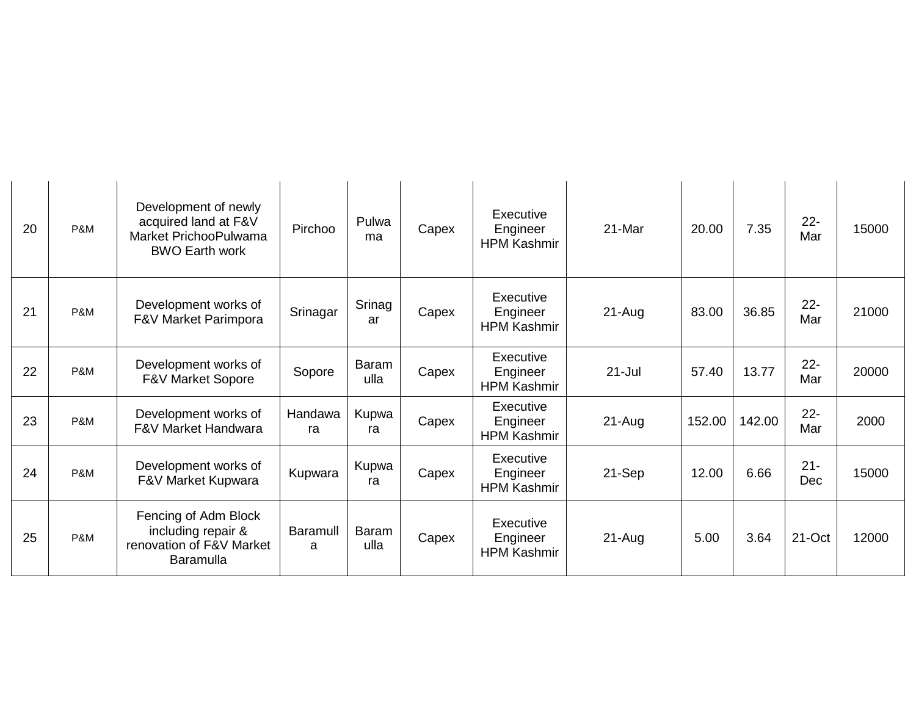| 20 | P&M | Development of newly<br>acquired land at F&V<br>Market PrichooPulwama<br><b>BWO Earth work</b> | Pirchoo              | Pulwa<br>ma   | Capex | Executive<br>Engineer<br><b>HPM Kashmir</b> | 21-Mar     | 20.00  | 7.35   | $22 -$<br>Mar | 15000 |
|----|-----|------------------------------------------------------------------------------------------------|----------------------|---------------|-------|---------------------------------------------|------------|--------|--------|---------------|-------|
| 21 | P&M | Development works of<br>F&V Market Parimpora                                                   | Srinagar             | Srinag<br>ar  | Capex | Executive<br>Engineer<br><b>HPM Kashmir</b> | 21-Aug     | 83.00  | 36.85  | $22 -$<br>Mar | 21000 |
| 22 | P&M | Development works of<br><b>F&amp;V Market Sopore</b>                                           | Sopore               | Baram<br>ulla | Capex | Executive<br>Engineer<br><b>HPM Kashmir</b> | $21 -$ Jul | 57.40  | 13.77  | $22 -$<br>Mar | 20000 |
| 23 | P&M | Development works of<br><b>F&amp;V Market Handwara</b>                                         | Handawa<br>ra        | Kupwa<br>ra   | Capex | Executive<br>Engineer<br><b>HPM Kashmir</b> | $21 - Aug$ | 152.00 | 142.00 | $22 -$<br>Mar | 2000  |
| 24 | P&M | Development works of<br>F&V Market Kupwara                                                     | Kupwara              | Kupwa<br>ra   | Capex | Executive<br>Engineer<br><b>HPM Kashmir</b> | 21-Sep     | 12.00  | 6.66   | $21 -$<br>Dec | 15000 |
| 25 | P&M | Fencing of Adm Block<br>including repair &<br>renovation of F&V Market<br><b>Baramulla</b>     | <b>Baramull</b><br>a | Baram<br>ulla | Capex | Executive<br>Engineer<br><b>HPM Kashmir</b> | $21 - Aug$ | 5.00   | 3.64   | 21-Oct        | 12000 |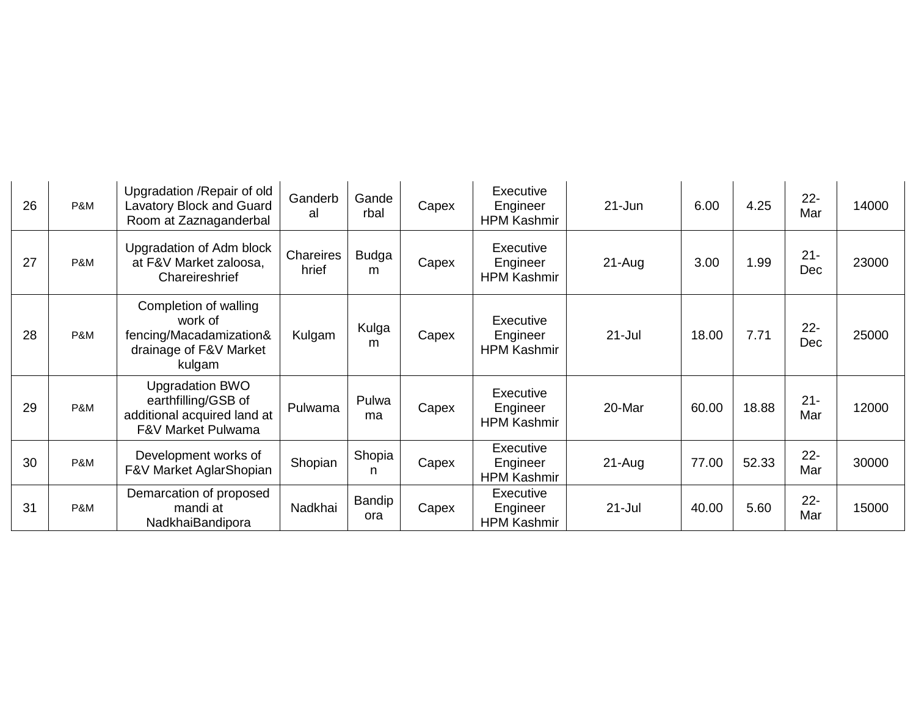| 26 | P&M | Upgradation / Repair of old<br>Lavatory Block and Guard<br>Room at Zaznaganderbal                  | Ganderb<br>al      | Gande<br>rbal     | Capex | Executive<br>Engineer<br><b>HPM Kashmir</b> | $21 - Jun$ | 6.00  | 4.25  | $22 -$<br>Mar | 14000 |
|----|-----|----------------------------------------------------------------------------------------------------|--------------------|-------------------|-------|---------------------------------------------|------------|-------|-------|---------------|-------|
| 27 | P&M | Upgradation of Adm block<br>at F&V Market zaloosa,<br>Chareireshrief                               | Chareires<br>hrief | <b>Budga</b><br>m | Capex | Executive<br>Engineer<br><b>HPM Kashmir</b> | $21-Auq$   | 3.00  | 1.99  | $21 -$<br>Dec | 23000 |
| 28 | P&M | Completion of walling<br>work of<br>fencing/Macadamization&<br>drainage of F&V Market<br>kulgam    | Kulgam             | Kulga<br>m        | Capex | Executive<br>Engineer<br><b>HPM Kashmir</b> | $21 -$ Jul | 18.00 | 7.71  | $22 -$<br>Dec | 25000 |
| 29 | P&M | <b>Upgradation BWO</b><br>earthfilling/GSB of<br>additional acquired land at<br>F&V Market Pulwama | Pulwama            | Pulwa<br>ma       | Capex | Executive<br>Engineer<br><b>HPM Kashmir</b> | 20-Mar     | 60.00 | 18.88 | $21 -$<br>Mar | 12000 |
| 30 | P&M | Development works of<br>F&V Market AglarShopian                                                    | Shopian            | Shopia<br>n       | Capex | Executive<br>Engineer<br><b>HPM Kashmir</b> | $21-Auq$   | 77.00 | 52.33 | $22 -$<br>Mar | 30000 |
| 31 | P&M | Demarcation of proposed<br>mandi at<br>NadkhaiBandipora                                            | Nadkhai            | Bandip<br>ora     | Capex | Executive<br>Engineer<br><b>HPM Kashmir</b> | $21 -$ Jul | 40.00 | 5.60  | $22 -$<br>Mar | 15000 |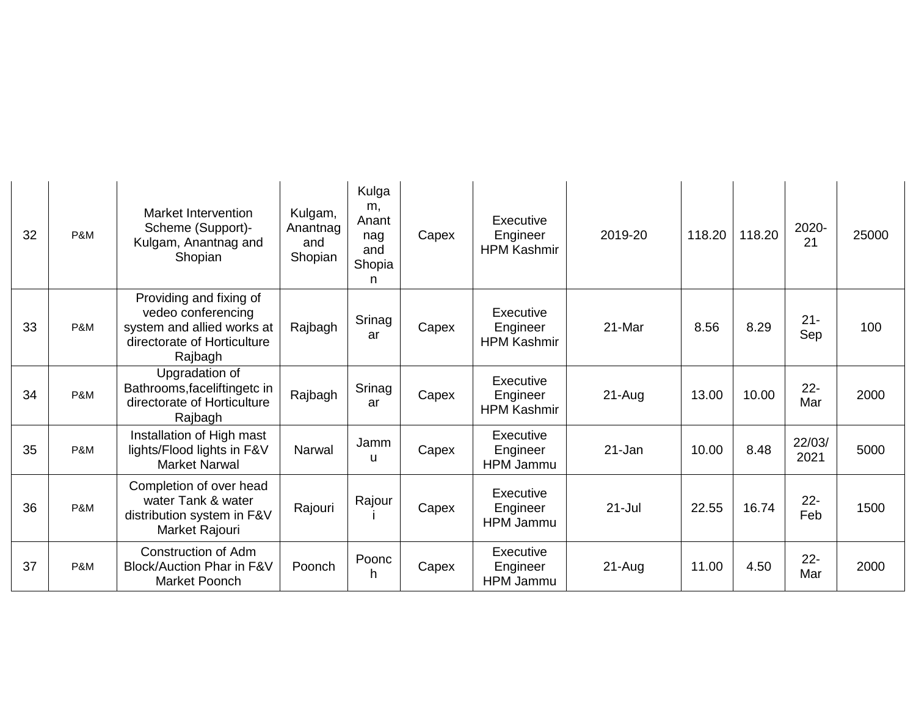| 32 | P&M | <b>Market Intervention</b><br>Scheme (Support)-<br>Kulgam, Anantnag and<br>Shopian                                    | Kulgam,<br>Anantnag<br>and<br>Shopian | Kulga<br>m,<br>Anant<br>nag<br>and<br>Shopia<br>n | Capex | Executive<br>Engineer<br><b>HPM Kashmir</b> | 2019-20    | 118.20 | 118.20 | 2020-<br>21    | 25000 |
|----|-----|-----------------------------------------------------------------------------------------------------------------------|---------------------------------------|---------------------------------------------------|-------|---------------------------------------------|------------|--------|--------|----------------|-------|
| 33 | P&M | Providing and fixing of<br>vedeo conferencing<br>system and allied works at<br>directorate of Horticulture<br>Rajbagh | Rajbagh                               | Srinag<br>ar                                      | Capex | Executive<br>Engineer<br><b>HPM Kashmir</b> | 21-Mar     | 8.56   | 8.29   | $21 -$<br>Sep  | 100   |
| 34 | P&M | Upgradation of<br>Bathrooms, faceliftingetc in<br>directorate of Horticulture<br>Rajbagh                              | Rajbagh                               | Srinag<br>ar                                      | Capex | Executive<br>Engineer<br><b>HPM Kashmir</b> | $21-Aug$   | 13.00  | 10.00  | $22 -$<br>Mar  | 2000  |
| 35 | P&M | Installation of High mast<br>lights/Flood lights in F&V<br><b>Market Narwal</b>                                       | Narwal                                | Jamm<br>u                                         | Capex | Executive<br>Engineer<br>HPM Jammu          | 21-Jan     | 10.00  | 8.48   | 22/03/<br>2021 | 5000  |
| 36 | P&M | Completion of over head<br>water Tank & water<br>distribution system in F&V<br>Market Rajouri                         | Rajouri                               | Rajour                                            | Capex | Executive<br>Engineer<br><b>HPM Jammu</b>   | $21 -$ Jul | 22.55  | 16.74  | $22 -$<br>Feb  | 1500  |
| 37 | P&M | <b>Construction of Adm</b><br>Block/Auction Phar in F&V<br><b>Market Poonch</b>                                       | Poonch                                | Poonc<br>h                                        | Capex | Executive<br>Engineer<br>HPM Jammu          | $21-Auq$   | 11.00  | 4.50   | $22 -$<br>Mar  | 2000  |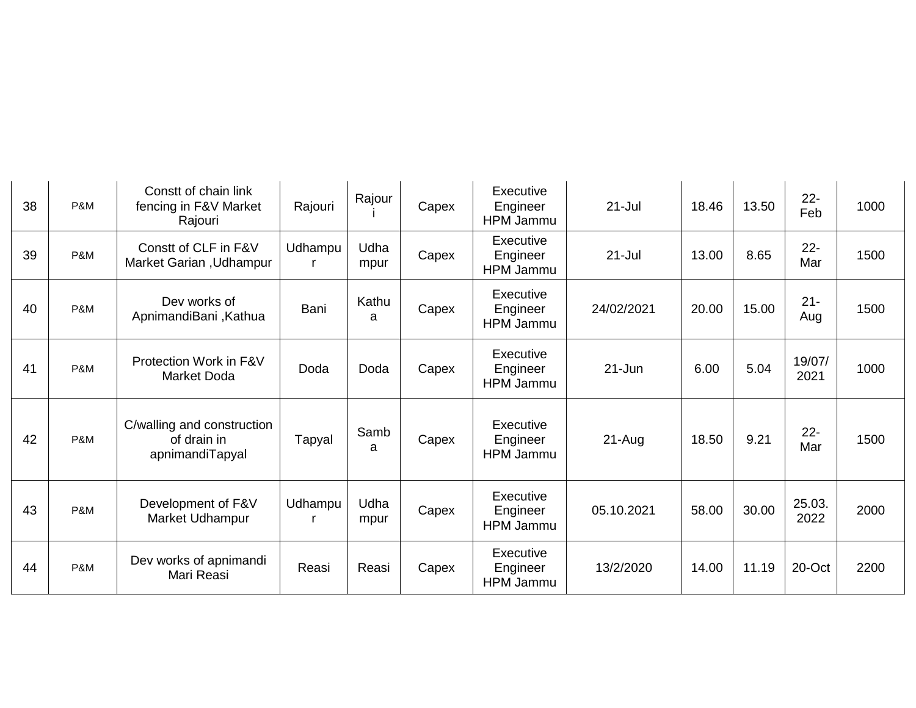| 38 | P&M | Constt of chain link<br>fencing in F&V Market<br>Rajouri     | Rajouri | Rajour       | Capex | Executive<br>Engineer<br>HPM Jammu | $21 -$ Jul | 18.46 | 13.50 | $22 -$<br>Feb  | 1000 |
|----|-----|--------------------------------------------------------------|---------|--------------|-------|------------------------------------|------------|-------|-------|----------------|------|
| 39 | P&M | Constt of CLF in F&V<br>Market Garian, Udhampur              | Udhampu | Udha<br>mpur | Capex | Executive<br>Engineer<br>HPM Jammu | $21 -$ Jul | 13.00 | 8.65  | $22 -$<br>Mar  | 1500 |
| 40 | P&M | Dev works of<br>ApnimandiBani, Kathua                        | Bani    | Kathu<br>a   | Capex | Executive<br>Engineer<br>HPM Jammu | 24/02/2021 | 20.00 | 15.00 | $21 -$<br>Aug  | 1500 |
| 41 | P&M | Protection Work in F&V<br>Market Doda                        | Doda    | Doda         | Capex | Executive<br>Engineer<br>HPM Jammu | $21 - Jun$ | 6.00  | 5.04  | 19/07/<br>2021 | 1000 |
| 42 | P&M | C/walling and construction<br>of drain in<br>apnimandiTapyal | Tapyal  | Samb<br>a    | Capex | Executive<br>Engineer<br>HPM Jammu | 21-Aug     | 18.50 | 9.21  | $22 -$<br>Mar  | 1500 |
| 43 | P&M | Development of F&V<br>Market Udhampur                        | Udhampu | Udha<br>mpur | Capex | Executive<br>Engineer<br>HPM Jammu | 05.10.2021 | 58.00 | 30.00 | 25.03.<br>2022 | 2000 |
| 44 | P&M | Dev works of apnimandi<br>Mari Reasi                         | Reasi   | Reasi        | Capex | Executive<br>Engineer<br>HPM Jammu | 13/2/2020  | 14.00 | 11.19 | 20-Oct         | 2200 |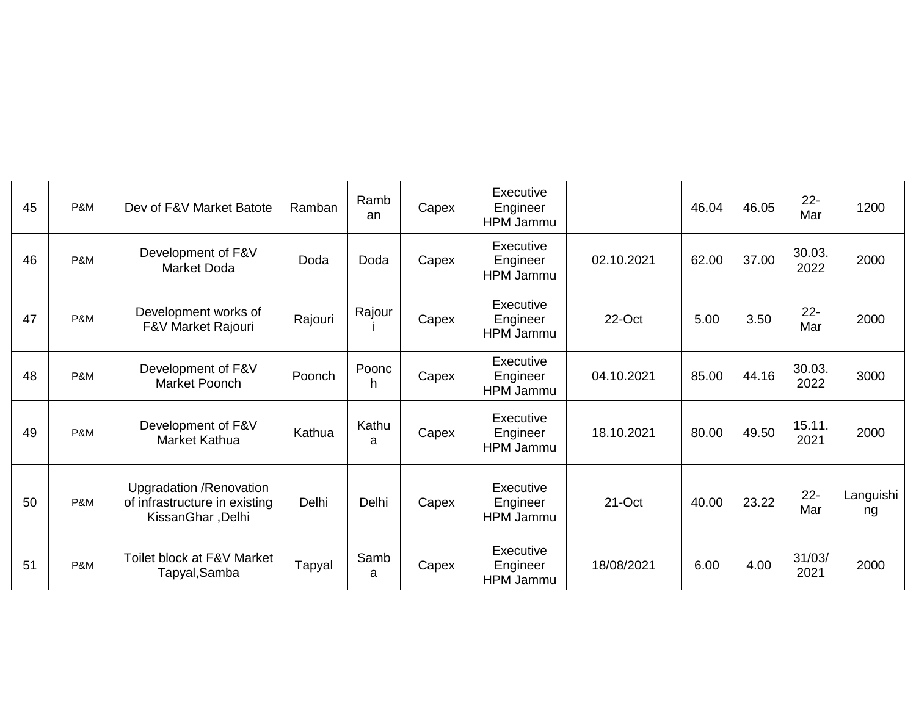| 45 | P&M | Dev of F&V Market Batote                                                       | Ramban  | Ramb<br>an  | Capex | Executive<br>Engineer<br>HPM Jammu        |            | 46.04 | 46.05 | $22 -$<br>Mar  | 1200            |
|----|-----|--------------------------------------------------------------------------------|---------|-------------|-------|-------------------------------------------|------------|-------|-------|----------------|-----------------|
| 46 | P&M | Development of F&V<br><b>Market Doda</b>                                       | Doda    | Doda        | Capex | Executive<br>Engineer<br><b>HPM Jammu</b> | 02.10.2021 | 62.00 | 37.00 | 30.03.<br>2022 | 2000            |
| 47 | P&M | Development works of<br>F&V Market Rajouri                                     | Rajouri | Rajour      | Capex | Executive<br>Engineer<br><b>HPM Jammu</b> | 22-Oct     | 5.00  | 3.50  | $22 -$<br>Mar  | 2000            |
| 48 | P&M | Development of F&V<br><b>Market Poonch</b>                                     | Poonch  | Poonc<br>h. | Capex | Executive<br>Engineer<br>HPM Jammu        | 04.10.2021 | 85.00 | 44.16 | 30.03.<br>2022 | 3000            |
| 49 | P&M | Development of F&V<br>Market Kathua                                            | Kathua  | Kathu<br>a  | Capex | Executive<br>Engineer<br>HPM Jammu        | 18.10.2021 | 80.00 | 49.50 | 15.11.<br>2021 | 2000            |
| 50 | P&M | Upgradation / Renovation<br>of infrastructure in existing<br>KissanGhar, Delhi | Delhi   | Delhi       | Capex | Executive<br>Engineer<br>HPM Jammu        | 21-Oct     | 40.00 | 23.22 | $22 -$<br>Mar  | Languishi<br>ng |
| 51 | P&M | Toilet block at F&V Market<br>Tapyal, Samba                                    | Tapyal  | Samb<br>a   | Capex | Executive<br>Engineer<br>HPM Jammu        | 18/08/2021 | 6.00  | 4.00  | 31/03/<br>2021 | 2000            |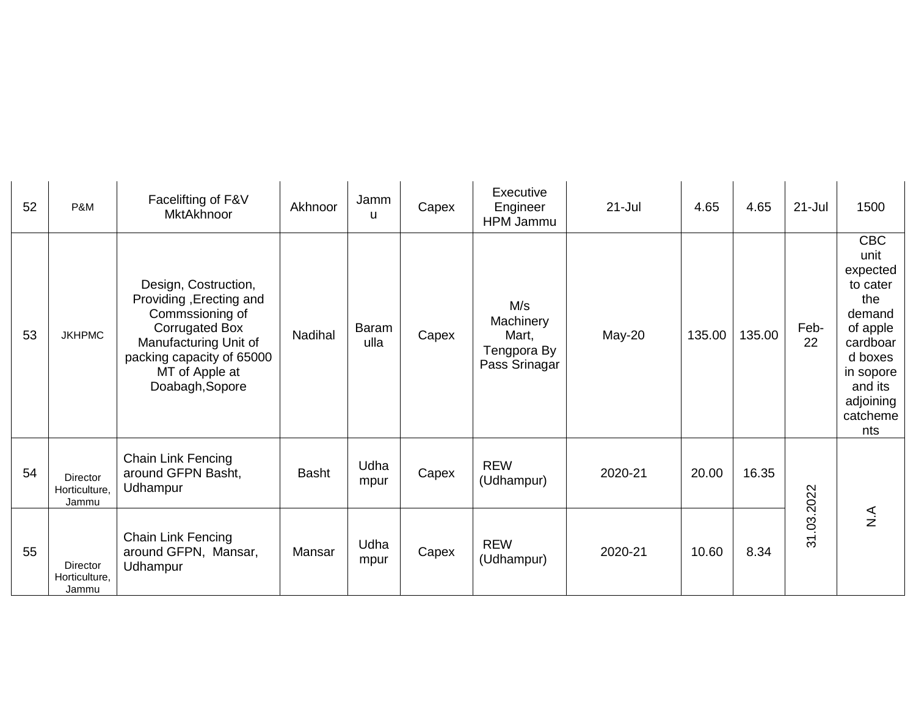| 52 | P&M                                       | Facelifting of F&V<br>MktAkhnoor                                                                                                                                                       | Akhnoor      | Jamm<br>u     | Capex | Executive<br>Engineer<br>HPM Jammu                        | $21 -$ Jul | 4.65   | 4.65   | $21 -$ Jul | 1500                                                                                                                                                   |
|----|-------------------------------------------|----------------------------------------------------------------------------------------------------------------------------------------------------------------------------------------|--------------|---------------|-------|-----------------------------------------------------------|------------|--------|--------|------------|--------------------------------------------------------------------------------------------------------------------------------------------------------|
| 53 | <b>JKHPMC</b>                             | Design, Costruction,<br>Providing, Erecting and<br>Commssioning of<br><b>Corrugated Box</b><br>Manufacturing Unit of<br>packing capacity of 65000<br>MT of Apple at<br>Doabagh, Sopore | Nadihal      | Baram<br>ulla | Capex | M/s<br>Machinery<br>Mart,<br>Tengpora By<br>Pass Srinagar | May-20     | 135.00 | 135.00 | Feb-<br>22 | <b>CBC</b><br>unit<br>expected<br>to cater<br>the<br>demand<br>of apple<br>cardboar<br>d boxes<br>in sopore<br>and its<br>adjoining<br>catcheme<br>nts |
| 54 | Director<br>Horticulture,<br>Jammu        | <b>Chain Link Fencing</b><br>around GFPN Basht,<br>Udhampur                                                                                                                            | <b>Basht</b> | Udha<br>mpur  | Capex | <b>REW</b><br>(Udhampur)                                  | 2020-21    | 20.00  | 16.35  |            |                                                                                                                                                        |
| 55 | <b>Director</b><br>Horticulture,<br>Jammu | <b>Chain Link Fencing</b><br>around GFPN, Mansar,<br>Udhampur                                                                                                                          | Mansar       | Udha<br>mpur  | Capex | <b>REW</b><br>(Udhampur)                                  | 2020-21    | 10.60  | 8.34   | 31.03.2022 | $rac{4}{z}$                                                                                                                                            |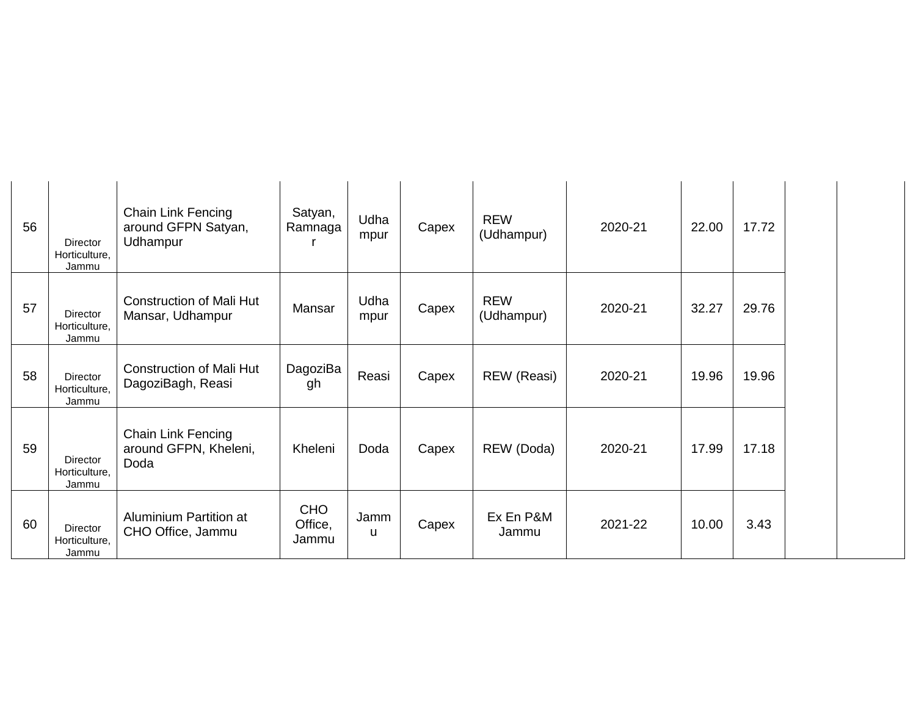| 56 | Director<br>Horticulture,<br>Jammu | Chain Link Fencing<br>around GFPN Satyan,<br>Udhampur | Satyan,<br>Ramnaga             | Udha<br>mpur | Capex | <b>REW</b><br>(Udhampur) | 2020-21 | 22.00 | 17.72 |
|----|------------------------------------|-------------------------------------------------------|--------------------------------|--------------|-------|--------------------------|---------|-------|-------|
| 57 | Director<br>Horticulture,<br>Jammu | <b>Construction of Mali Hut</b><br>Mansar, Udhampur   | Mansar                         | Udha<br>mpur | Capex | <b>REW</b><br>(Udhampur) | 2020-21 | 32.27 | 29.76 |
| 58 | Director<br>Horticulture,<br>Jammu | <b>Construction of Mali Hut</b><br>DagoziBagh, Reasi  | DagoziBa<br>gh                 | Reasi        | Capex | REW (Reasi)              | 2020-21 | 19.96 | 19.96 |
| 59 | Director<br>Horticulture,<br>Jammu | Chain Link Fencing<br>around GFPN, Kheleni,<br>Doda   | Kheleni                        | Doda         | Capex | REW (Doda)               | 2020-21 | 17.99 | 17.18 |
| 60 | Director<br>Horticulture,<br>Jammu | Aluminium Partition at<br>CHO Office, Jammu           | <b>CHO</b><br>Office,<br>Jammu | Jamm<br>u    | Capex | Ex En P&M<br>Jammu       | 2021-22 | 10.00 | 3.43  |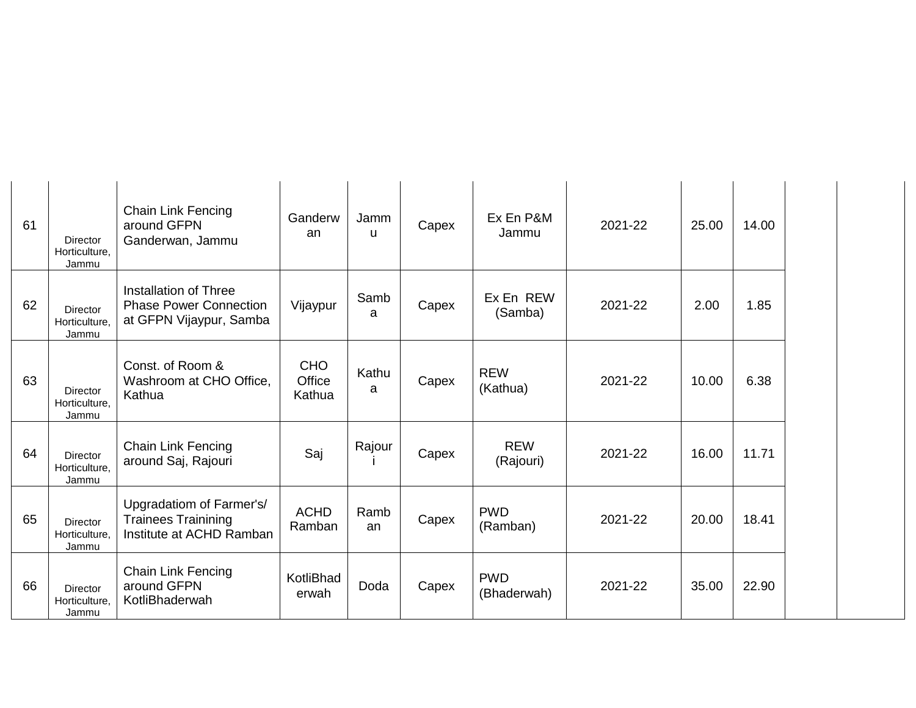| 61 | <b>Director</b><br>Horticulture,<br>Jammu | <b>Chain Link Fencing</b><br>around GFPN<br>Ganderwan, Jammu                       | Ganderw<br>an                  | Jamm<br>u  | Capex | Ex En P&M<br>Jammu        | 2021-22 | 25.00 | 14.00 |
|----|-------------------------------------------|------------------------------------------------------------------------------------|--------------------------------|------------|-------|---------------------------|---------|-------|-------|
| 62 | Director<br>Horticulture,<br>Jammu        | Installation of Three<br><b>Phase Power Connection</b><br>at GFPN Vijaypur, Samba  | Vijaypur                       | Samb<br>a  | Capex | Ex En REW<br>(Samba)      | 2021-22 | 2.00  | 1.85  |
| 63 | Director<br>Horticulture,<br>Jammu        | Const. of Room &<br>Washroom at CHO Office,<br>Kathua                              | <b>CHO</b><br>Office<br>Kathua | Kathu<br>a | Capex | <b>REW</b><br>(Kathua)    | 2021-22 | 10.00 | 6.38  |
| 64 | Director<br>Horticulture,<br>Jammu        | <b>Chain Link Fencing</b><br>around Saj, Rajouri                                   | Saj                            | Rajour     | Capex | <b>REW</b><br>(Rajouri)   | 2021-22 | 16.00 | 11.71 |
| 65 | <b>Director</b><br>Horticulture,<br>Jammu | Upgradatiom of Farmer's/<br><b>Trainees Trainining</b><br>Institute at ACHD Ramban | <b>ACHD</b><br>Ramban          | Ramb<br>an | Capex | <b>PWD</b><br>(Ramban)    | 2021-22 | 20.00 | 18.41 |
| 66 | Director<br>Horticulture,<br>Jammu        | <b>Chain Link Fencing</b><br>around GFPN<br>KotliBhaderwah                         | KotliBhad<br>erwah             | Doda       | Capex | <b>PWD</b><br>(Bhaderwah) | 2021-22 | 35.00 | 22.90 |